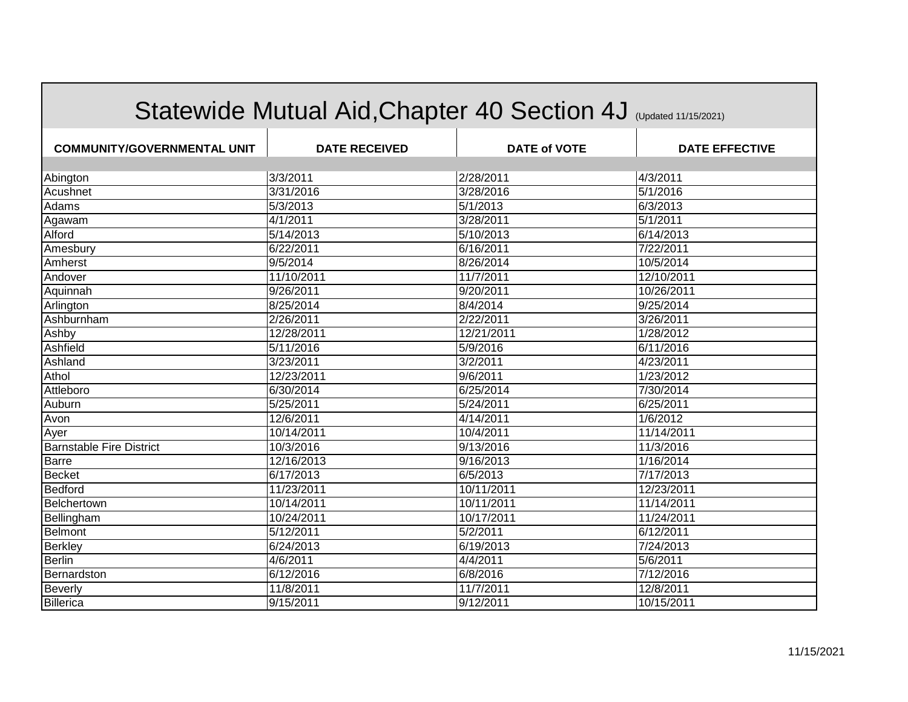|                                    | Statewide Mutual Aid, Chapter 40 Section 4J (Updated 11/15/2021) |                     |                       |
|------------------------------------|------------------------------------------------------------------|---------------------|-----------------------|
| <b>COMMUNITY/GOVERNMENTAL UNIT</b> | <b>DATE RECEIVED</b>                                             | <b>DATE of VOTE</b> | <b>DATE EFFECTIVE</b> |
|                                    |                                                                  |                     |                       |
| Abington                           | 3/3/2011                                                         | 2/28/2011           | 4/3/2011              |
| Acushnet                           | 3/31/2016                                                        | 3/28/2016           | 5/1/2016              |
| Adams                              | 5/3/2013                                                         | 5/1/2013            | 6/3/2013              |
| Agawam                             | 4/1/2011                                                         | 3/28/2011           | 5/1/2011              |
| Alford                             | 5/14/2013                                                        | 5/10/2013           | 6/14/2013             |
| Amesbury                           | 6/22/2011                                                        | 6/16/2011           | 7/22/2011             |
| Amherst                            | 9/5/2014                                                         | 8/26/2014           | 10/5/2014             |
| Andover                            | 11/10/2011                                                       | 11/7/2011           | 12/10/2011            |
| Aquinnah                           | 9/26/2011                                                        | 9/20/2011           | 10/26/2011            |
| Arlington                          | 8/25/2014                                                        | 8/4/2014            | 9/25/2014             |
| Ashburnham                         | 2/26/2011                                                        | 2/22/2011           | 3/26/2011             |
| Ashby                              | 12/28/2011                                                       | 12/21/2011          | 1/28/2012             |
| Ashfield                           | 5/11/2016                                                        | 5/9/2016            | 6/11/2016             |
| Ashland                            | 3/23/2011                                                        | 3/2/2011            | 4/23/2011             |
| Athol                              | 12/23/2011                                                       | 9/6/2011            | 1/23/2012             |
| Attleboro                          | 6/30/2014                                                        | 6/25/2014           | 7/30/2014             |
| Auburn                             | 5/25/2011                                                        | 5/24/2011           | 6/25/2011             |
| Avon                               | 12/6/2011                                                        | 4/14/2011           | 1/6/2012              |
| Ayer                               | 10/14/2011                                                       | 10/4/2011           | 11/14/2011            |
| <b>Barnstable Fire District</b>    | 10/3/2016                                                        | 9/13/2016           | 11/3/2016             |
| <b>Barre</b>                       | 12/16/2013                                                       | 9/16/2013           | 1/16/2014             |
| <b>Becket</b>                      | 6/17/2013                                                        | 6/5/2013            | 7/17/2013             |
| Bedford                            | 11/23/2011                                                       | 10/11/2011          | 12/23/2011            |
| Belchertown                        | 10/14/2011                                                       | 10/11/2011          | 11/14/2011            |
| Bellingham                         | 10/24/2011                                                       | 10/17/2011          | 11/24/2011            |
| Belmont                            | 5/12/2011                                                        | 5/2/2011            | 6/12/2011             |
| <b>Berkley</b>                     | 6/24/2013                                                        | 6/19/2013           | 7/24/2013             |
| Berlin                             | 4/6/2011                                                         | 4/4/2011            | 5/6/2011              |
| Bernardston                        | 6/12/2016                                                        | 6/8/2016            | 7/12/2016             |
| <b>Beverly</b>                     | 11/8/2011                                                        | 11/7/2011           | 12/8/2011             |
| Billerica                          | 9/15/2011                                                        | 9/12/2011           | 10/15/2011            |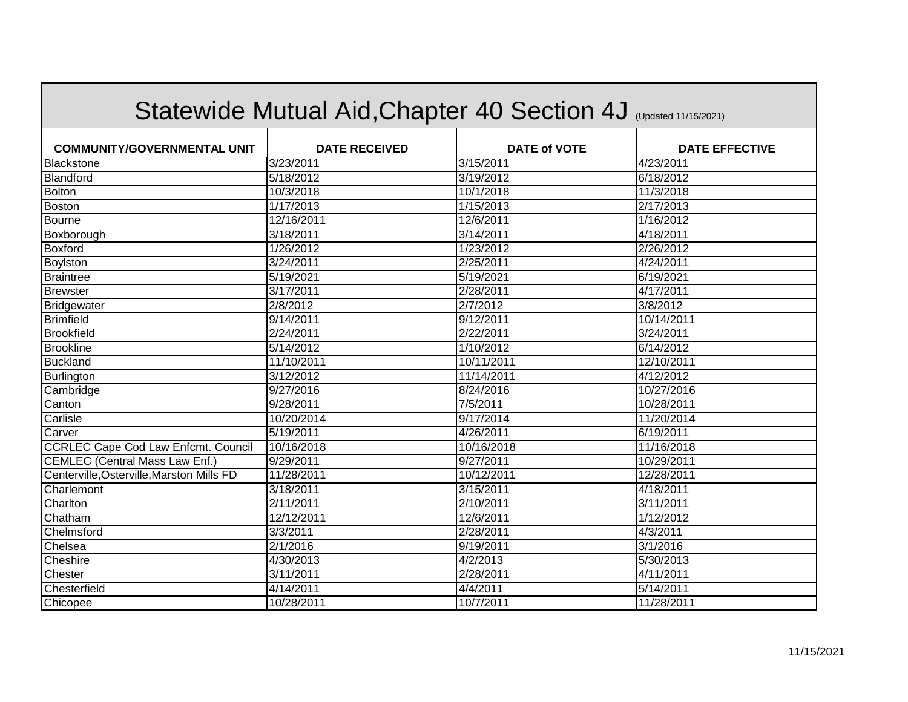|                                            | Statewide Mutual Aid, Chapter 40 Section 4J (Updated 11/15/2021) |                     |                       |
|--------------------------------------------|------------------------------------------------------------------|---------------------|-----------------------|
| <b>COMMUNITY/GOVERNMENTAL UNIT</b>         | <b>DATE RECEIVED</b>                                             | <b>DATE of VOTE</b> | <b>DATE EFFECTIVE</b> |
| Blackstone                                 | 3/23/2011                                                        | 3/15/2011           | 4/23/2011             |
| Blandford                                  | 5/18/2012                                                        | 3/19/2012           | 6/18/2012             |
| Bolton                                     | 10/3/2018                                                        | 10/1/2018           | 11/3/2018             |
| Boston                                     | 1/17/2013                                                        | 1/15/2013           | 2/17/2013             |
| Bourne                                     | 12/16/2011                                                       | 12/6/2011           | 1/16/2012             |
| Boxborough                                 | 3/18/2011                                                        | 3/14/2011           | 4/18/2011             |
| <b>Boxford</b>                             | 1/26/2012                                                        | 1/23/2012           | 2/26/2012             |
| Boylston                                   | 3/24/2011                                                        | 2/25/2011           | 4/24/2011             |
| <b>Braintree</b>                           | 5/19/2021                                                        | 5/19/2021           | 6/19/2021             |
| <b>Brewster</b>                            | 3/17/2011                                                        | 2/28/2011           | 4/17/2011             |
| Bridgewater                                | $\sqrt{2/8/2012}$                                                | 2/7/2012            | 3/8/2012              |
| <b>Brimfield</b>                           | 9/14/2011                                                        | 9/12/2011           | 10/14/2011            |
| <b>Brookfield</b>                          | 2/24/2011                                                        | 2/22/2011           | 3/24/2011             |
| <b>Brookline</b>                           | 5/14/2012                                                        | 1/10/2012           | 6/14/2012             |
| <b>Buckland</b>                            | 11/10/2011                                                       | 10/11/2011          | 12/10/2011            |
| Burlington                                 | 3/12/2012                                                        | 11/14/2011          | 4/12/2012             |
| Cambridge                                  | 9/27/2016                                                        | 8/24/2016           | 10/27/2016            |
| Canton                                     | 9/28/2011                                                        | 7/5/2011            | 10/28/2011            |
| Carlisle                                   | 10/20/2014                                                       | 9/17/2014           | 11/20/2014            |
| Carver                                     | 5/19/2011                                                        | 4/26/2011           | 6/19/2011             |
| <b>CCRLEC Cape Cod Law Enfcmt. Council</b> | 10/16/2018                                                       | 10/16/2018          | 11/16/2018            |
| <b>CEMLEC (Central Mass Law Enf.)</b>      | 9/29/2011                                                        | 9/27/2011           | 10/29/2011            |
| Centerville, Osterville, Marston Mills FD  | 11/28/2011                                                       | 10/12/2011          | 12/28/2011            |
| Charlemont                                 | 3/18/2011                                                        | 3/15/2011           | 4/18/2011             |
| Charlton                                   | 2/11/2011                                                        | 2/10/2011           | 3/11/2011             |
| Chatham                                    | 12/12/2011                                                       | 12/6/2011           | 1/12/2012             |
| Chelmsford                                 | 3/3/2011                                                         | 2/28/2011           | 4/3/2011              |
| Chelsea                                    | 2/1/2016                                                         | 9/19/2011           | 3/1/2016              |
| Cheshire                                   | 4/30/2013                                                        | 4/2/2013            | 5/30/2013             |
| Chester                                    | 3/11/2011                                                        | 2/28/2011           | 4/11/2011             |
| Chesterfield                               | 4/14/2011                                                        | 4/4/2011            | 5/14/2011             |
| Chicopee                                   | 10/28/2011                                                       | 10/7/2011           | 11/28/2011            |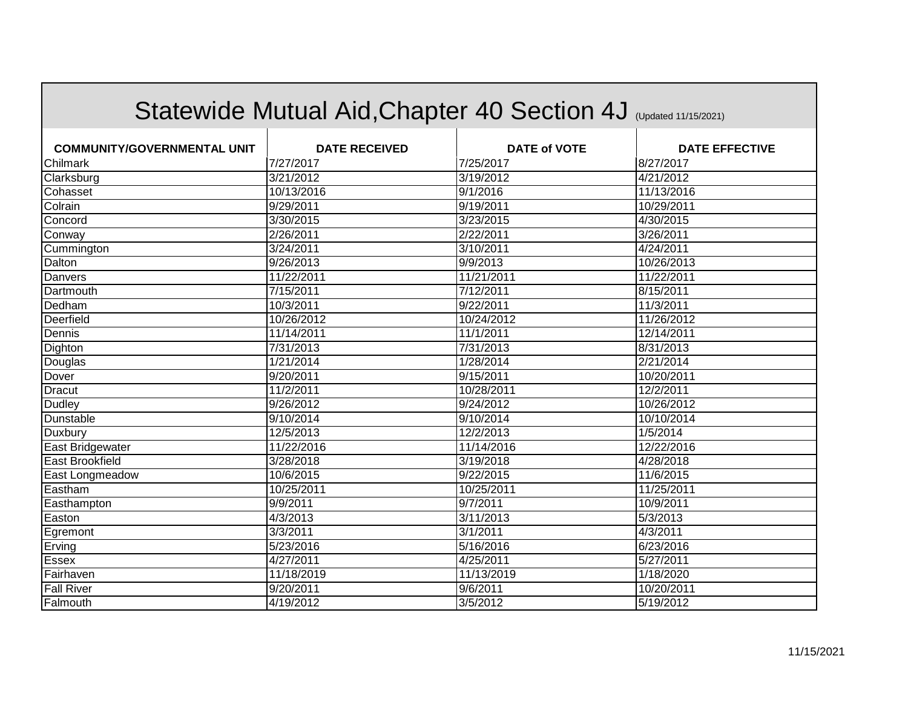|                                    | Statewide Mutual Aid, Chapter 40 Section 4J (Updated 11/15/2021) |                     |                       |
|------------------------------------|------------------------------------------------------------------|---------------------|-----------------------|
| <b>COMMUNITY/GOVERNMENTAL UNIT</b> | <b>DATE RECEIVED</b>                                             | <b>DATE of VOTE</b> | <b>DATE EFFECTIVE</b> |
| Chilmark                           | 7/27/2017                                                        | 7/25/2017           | 8/27/2017             |
| Clarksburg                         | 3/21/2012                                                        | 3/19/2012           | 4/21/2012             |
| Cohasset                           | 10/13/2016                                                       | 9/1/2016            | 11/13/2016            |
| Colrain                            | 9/29/2011                                                        | 9/19/2011           | 10/29/2011            |
| Concord                            | 3/30/2015                                                        | 3/23/2015           | 4/30/2015             |
| Conway                             | 2/26/2011                                                        | 2/22/2011           | 3/26/2011             |
| Cummington                         | 3/24/2011                                                        | 3/10/2011           | 4/24/2011             |
| Dalton                             | 9/26/2013                                                        | 9/9/2013            | 10/26/2013            |
| Danvers                            | 11/22/2011                                                       | 11/21/2011          | 11/22/2011            |
| Dartmouth                          | 7/15/2011                                                        | 7/12/2011           | 8/15/2011             |
| Dedham                             | 10/3/2011                                                        | 9/22/2011           | 11/3/2011             |
| Deerfield                          | 10/26/2012                                                       | 10/24/2012          | 11/26/2012            |
| Dennis                             | 11/14/2011                                                       | 11/1/2011           | 12/14/2011            |
| Dighton                            | 7/31/2013                                                        | 7/31/2013           | 8/31/2013             |
| Douglas                            | 1/21/2014                                                        | 1/28/2014           | 2/21/2014             |
| Dover                              | 9/20/2011                                                        | 9/15/2011           | 10/20/2011            |
| <b>Dracut</b>                      | 11/2/2011                                                        | 10/28/2011          | 12/2/2011             |
| Dudley                             | 9/26/2012                                                        | 9/24/2012           | 10/26/2012            |
| Dunstable                          | 9/10/2014                                                        | 9/10/2014           | 10/10/2014            |
| Duxbury                            | 12/5/2013                                                        | 12/2/2013           | 1/5/2014              |
| East Bridgewater                   | 11/22/2016                                                       | 11/14/2016          | 12/22/2016            |
| <b>East Brookfield</b>             | 3/28/2018                                                        | 3/19/2018           | 4/28/2018             |
| East Longmeadow                    | 10/6/2015                                                        | 9/22/2015           | 11/6/2015             |
| Eastham                            | 10/25/2011                                                       | 10/25/2011          | 11/25/2011            |
| Easthampton                        | 9/9/2011                                                         | 9/7/2011            | 10/9/2011             |
| Easton                             | 4/3/2013                                                         | 3/11/2013           | 5/3/2013              |
| Egremont                           | 3/3/2011                                                         | 3/1/2011            | 4/3/2011              |
| Erving                             | 5/23/2016                                                        | 5/16/2016           | 6/23/2016             |
| Essex                              | 4/27/2011                                                        | 4/25/2011           | 5/27/2011             |
| Fairhaven                          | 11/18/2019                                                       | 11/13/2019          | 1/18/2020             |
| <b>Fall River</b>                  | 9/20/2011                                                        | 9/6/2011            | 10/20/2011            |
| Falmouth                           | 4/19/2012                                                        | 3/5/2012            | 5/19/2012             |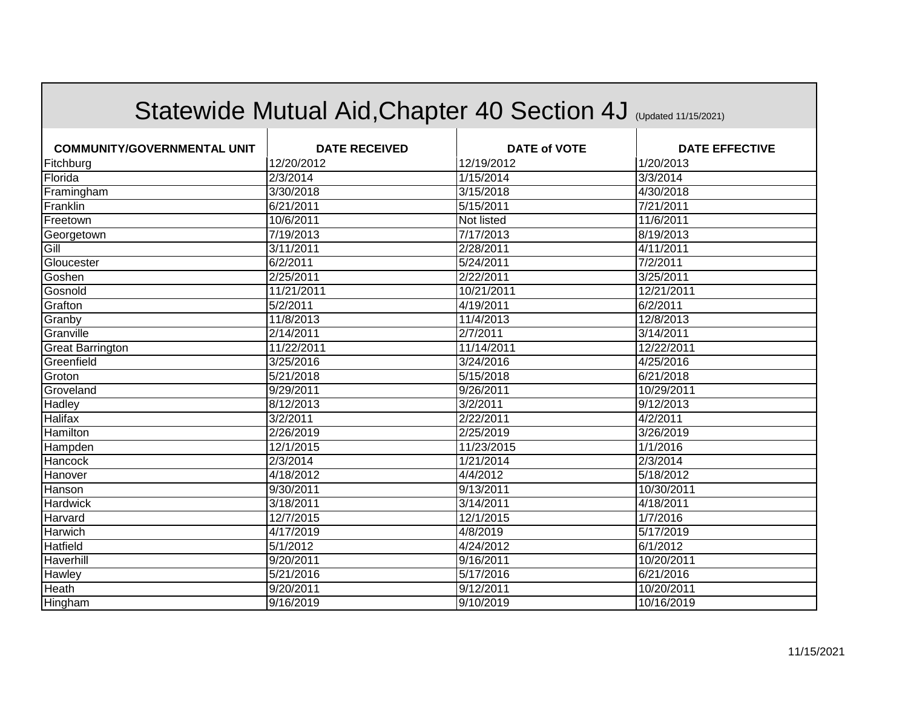|                                    | Statewide Mutual Aid, Chapter 40 Section 4J (Updated 11/15/2021) |                        |                       |
|------------------------------------|------------------------------------------------------------------|------------------------|-----------------------|
| <b>COMMUNITY/GOVERNMENTAL UNIT</b> | <b>DATE RECEIVED</b>                                             | <b>DATE of VOTE</b>    | <b>DATE EFFECTIVE</b> |
| Fitchburg                          | 12/20/2012                                                       | 12/19/2012             | 1/20/2013             |
| Florida                            | 2/3/2014                                                         | $\overline{1/15/2014}$ | 3/3/2014              |
| Framingham                         | 3/30/2018                                                        | 3/15/2018              | 4/30/2018             |
| Franklin                           | 6/21/2011                                                        | 5/15/2011              | 7/21/2011             |
| Freetown                           | 10/6/2011                                                        | Not listed             | 11/6/2011             |
| Georgetown                         | 7/19/2013                                                        | 7/17/2013              | 8/19/2013             |
| Gill                               | 3/11/2011                                                        | 2/28/2011              | 4/11/2011             |
| Gloucester                         | 6/2/2011                                                         | 5/24/2011              | 7/2/2011              |
| Goshen                             | 2/25/2011                                                        | 2/22/2011              | 3/25/2011             |
| Gosnold                            | 11/21/2011                                                       | 10/21/2011             | 12/21/2011            |
| Grafton                            | 5/2/2011                                                         | 4/19/2011              | 6/2/2011              |
| Granby                             | 11/8/2013                                                        | 11/4/2013              | 12/8/2013             |
| Granville                          | 2/14/2011                                                        | 2/7/2011               | 3/14/2011             |
| <b>Great Barrington</b>            | 11/22/2011                                                       | 11/14/2011             | 12/22/2011            |
| Greenfield                         | 3/25/2016                                                        | 3/24/2016              | 4/25/2016             |
| Groton                             | 5/21/2018                                                        | 5/15/2018              | 6/21/2018             |
| Groveland                          | 9/29/2011                                                        | 9/26/2011              | 10/29/2011            |
| Hadley                             | 8/12/2013                                                        | 3/2/2011               | 9/12/2013             |
| <b>Halifax</b>                     | 3/2/2011                                                         | 2/22/2011              | 4/2/2011              |
| Hamilton                           | 2/26/2019                                                        | 2/25/2019              | 3/26/2019             |
| Hampden                            | 12/1/2015                                                        | 11/23/2015             | 1/1/2016              |
| Hancock                            | 2/3/2014                                                         | 1/21/2014              | 2/3/2014              |
| Hanover                            | 4/18/2012                                                        | 4/4/2012               | 5/18/2012             |
| Hanson                             | 9/30/2011                                                        | 9/13/2011              | 10/30/2011            |
| Hardwick                           | 3/18/2011                                                        | 3/14/2011              | 4/18/2011             |
| Harvard                            | 12/7/2015                                                        | 12/1/2015              | 1/7/2016              |
| Harwich                            | 4/17/2019                                                        | 4/8/2019               | 5/17/2019             |
| Hatfield                           | $\sqrt{5/1/2012}$                                                | 4/24/2012              | 6/1/2012              |
| Haverhill                          | 9/20/2011                                                        | 9/16/2011              | 10/20/2011            |
| <b>Hawley</b>                      | 5/21/2016                                                        | 5/17/2016              | 6/21/2016             |
| <b>Heath</b>                       | 9/20/2011                                                        | 9/12/2011              | 10/20/2011            |
| Hingham                            | 9/16/2019                                                        | 9/10/2019              | 10/16/2019            |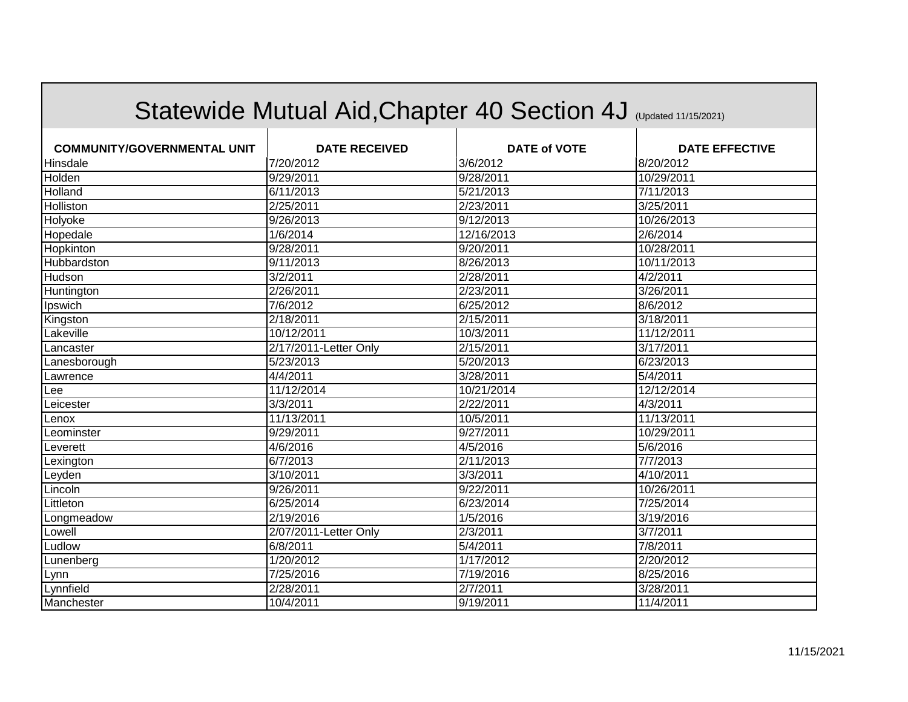|                                    |                       | Statewide Mutual Aid, Chapter 40 Section 4J (Updated 11/15/2021) |                       |
|------------------------------------|-----------------------|------------------------------------------------------------------|-----------------------|
| <b>COMMUNITY/GOVERNMENTAL UNIT</b> | <b>DATE RECEIVED</b>  | <b>DATE of VOTE</b>                                              | <b>DATE EFFECTIVE</b> |
| Hinsdale                           | 7/20/2012             | 3/6/2012                                                         | 8/20/2012             |
| Holden                             | 9/29/2011             | 9/28/2011                                                        | 10/29/2011            |
| Holland                            | 6/11/2013             | 5/21/2013                                                        | 7/11/2013             |
| Holliston                          | 2/25/2011             | 2/23/2011                                                        | 3/25/2011             |
| Holyoke                            | 9/26/2013             | 9/12/2013                                                        | 10/26/2013            |
| Hopedale                           | 1/6/2014              | 12/16/2013                                                       | 2/6/2014              |
| Hopkinton                          | 9/28/2011             | 9/20/2011                                                        | 10/28/2011            |
| Hubbardston                        | 9/11/2013             | 8/26/2013                                                        | 10/11/2013            |
| Hudson                             | 3/2/2011              | 2/28/2011                                                        | 4/2/2011              |
| Huntington                         | 2/26/2011             | 2/23/2011                                                        | 3/26/2011             |
| Ipswich                            | 7/6/2012              | 6/25/2012                                                        | 8/6/2012              |
| Kingston                           | 2/18/2011             | 2/15/2011                                                        | 3/18/2011             |
| Lakeville                          | 10/12/2011            | 10/3/2011                                                        | 11/12/2011            |
| Lancaster                          | 2/17/2011-Letter Only | 2/15/2011                                                        | 3/17/2011             |
| Lanesborough                       | 5/23/2013             | 5/20/2013                                                        | 6/23/2013             |
| Lawrence                           | 4/4/2011              | 3/28/2011                                                        | $\sqrt{5/4}/2011$     |
| Lee                                | 11/12/2014            | 10/21/2014                                                       | 12/12/2014            |
| Leicester                          | 3/3/2011              | 2/22/2011                                                        | 4/3/2011              |
| Lenox                              | 11/13/2011            | 10/5/2011                                                        | 11/13/2011            |
| Leominster                         | 9/29/2011             | 9/27/2011                                                        | 10/29/2011            |
| Leverett                           | 4/6/2016              | 4/5/2016                                                         | 5/6/2016              |
| Lexington                          | 6/7/2013              | 2/11/2013                                                        | 7/7/2013              |
| Leyden                             | 3/10/2011             | 3/3/2011                                                         | 4/10/2011             |
| Lincoln                            | 9/26/2011             | 9/22/2011                                                        | 10/26/2011            |
| Littleton                          | 6/25/2014             | 6/23/2014                                                        | 7/25/2014             |
| Longmeadow                         | 2/19/2016             | 1/5/2016                                                         | 3/19/2016             |
| Lowell                             | 2/07/2011-Letter Only | 2/3/2011                                                         | 3/7/2011              |
| Ludlow                             | 6/8/2011              | 5/4/2011                                                         | 7/8/2011              |
| Lunenberg                          | 1/20/2012             | 1/17/2012                                                        | 2/20/2012             |
| Lynn                               | 7/25/2016             | 7/19/2016                                                        | 8/25/2016             |
| Lynnfield                          | 2/28/2011             | 2/7/2011                                                         | 3/28/2011             |
| Manchester                         | 10/4/2011             | 9/19/2011                                                        | 11/4/2011             |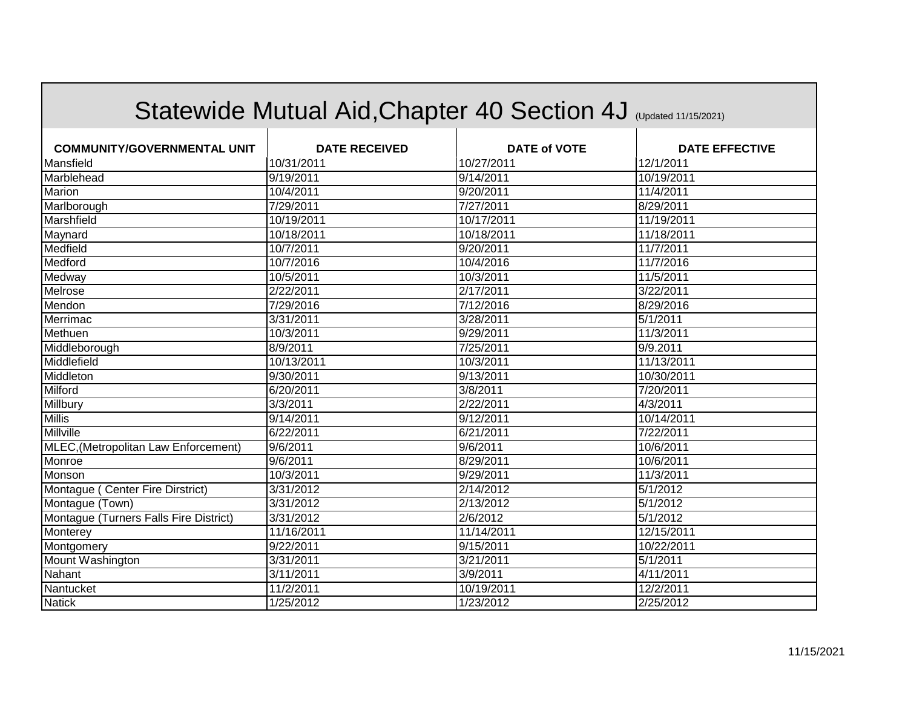|                                             | Statewide Mutual Aid, Chapter 40 Section 4J (Updated 11/15/2021) |                     |                       |
|---------------------------------------------|------------------------------------------------------------------|---------------------|-----------------------|
| <b>COMMUNITY/GOVERNMENTAL UNIT</b>          | <b>DATE RECEIVED</b>                                             | <b>DATE of VOTE</b> | <b>DATE EFFECTIVE</b> |
| Mansfield                                   | 10/31/2011                                                       | 10/27/2011          | 12/1/2011             |
| Marblehead                                  | 9/19/2011                                                        | 9/14/2011           | 10/19/2011            |
| Marion                                      | 10/4/2011                                                        | 9/20/2011           | 11/4/2011             |
| Marlborough                                 | 7/29/2011                                                        | 7/27/2011           | 8/29/2011             |
| Marshfield                                  | 10/19/2011                                                       | 10/17/2011          | 11/19/2011            |
| Maynard                                     | 10/18/2011                                                       | 10/18/2011          | 11/18/2011            |
| Medfield                                    | 10/7/2011                                                        | 9/20/2011           | 11/7/2011             |
| Medford                                     | 10/7/2016                                                        | 10/4/2016           | 11/7/2016             |
| Medway                                      | 10/5/2011                                                        | 10/3/2011           | 11/5/2011             |
| Melrose                                     | 2/22/2011                                                        | 2/17/2011           | 3/22/2011             |
| Mendon                                      | 7/29/2016                                                        | 7/12/2016           | 8/29/2016             |
| Merrimac                                    | 3/31/2011                                                        | 3/28/2011           | 5/1/2011              |
| Methuen                                     | 10/3/2011                                                        | 9/29/2011           | 11/3/2011             |
| Middleborough                               | 8/9/2011                                                         | 7/25/2011           | 9/9.2011              |
| Middlefield                                 | 10/13/2011                                                       | 10/3/2011           | 11/13/2011            |
| Middleton                                   | 9/30/2011                                                        | 9/13/2011           | 10/30/2011            |
| Milford                                     | 6/20/2011                                                        | 3/8/2011            | 7/20/2011             |
| Millbury                                    | 3/3/2011                                                         | 2/22/2011           | 4/3/2011              |
| <b>Millis</b>                               | 9/14/2011                                                        | 9/12/2011           | 10/14/2011            |
| Millville                                   | 6/22/2011                                                        | 6/21/2011           | 7/22/2011             |
| <b>MLEC, (Metropolitan Law Enforcement)</b> | 9/6/2011                                                         | 9/6/2011            | 10/6/2011             |
| Monroe                                      | 9/6/2011                                                         | 8/29/2011           | 10/6/2011             |
| Monson                                      | 10/3/2011                                                        | 9/29/2011           | 11/3/2011             |
| Montague (Center Fire Dirstrict)            | 3/31/2012                                                        | 2/14/2012           | 5/1/2012              |
| Montague (Town)                             | 3/31/2012                                                        | 2/13/2012           | 5/1/2012              |
| Montague (Turners Falls Fire District)      | 3/31/2012                                                        | 2/6/2012            | 5/1/2012              |
| Monterey                                    | 11/16/2011                                                       | 11/14/2011          | 12/15/2011            |
| Montgomery                                  | 9/22/2011                                                        | 9/15/2011           | 10/22/2011            |
| Mount Washington                            | 3/31/2011                                                        | 3/21/2011           | 5/1/2011              |
| Nahant                                      | 3/11/2011                                                        | 3/9/2011            | 4/11/2011             |
| Nantucket                                   | 11/2/2011                                                        | 10/19/2011          | 12/2/2011             |
| <b>Natick</b>                               | 1/25/2012                                                        | 1/23/2012           | 2/25/2012             |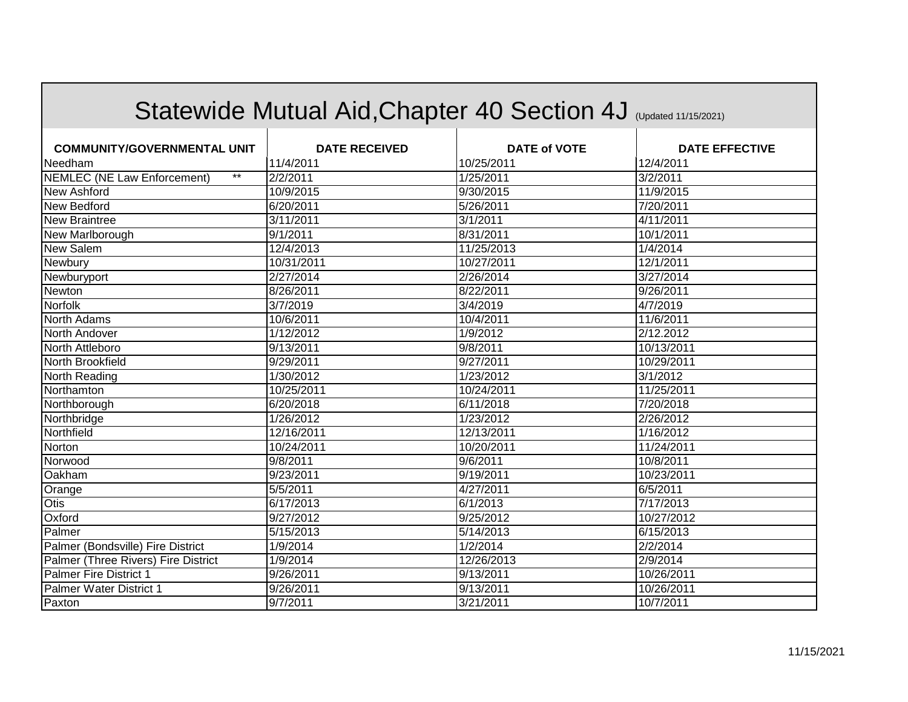|                                             |                      | Statewide Mutual Aid, Chapter 40 Section 4J (Updated 11/15/2021) |                       |
|---------------------------------------------|----------------------|------------------------------------------------------------------|-----------------------|
| <b>COMMUNITY/GOVERNMENTAL UNIT</b>          | <b>DATE RECEIVED</b> | <b>DATE of VOTE</b>                                              | <b>DATE EFFECTIVE</b> |
| Needham                                     | 11/4/2011            | 10/25/2011                                                       | 12/4/2011             |
| $***$<br><b>NEMLEC (NE Law Enforcement)</b> | 2/2/2011             | 1/25/2011                                                        | 3/2/2011              |
| New Ashford                                 | 10/9/2015            | 9/30/2015                                                        | 11/9/2015             |
| New Bedford                                 | 6/20/2011            | 5/26/2011                                                        | 7/20/2011             |
| New Braintree                               | 3/11/2011            | 3/1/2011                                                         | 4/11/2011             |
| New Marlborough                             | 9/1/2011             | 8/31/2011                                                        | 10/1/2011             |
| <b>New Salem</b>                            | 12/4/2013            | 11/25/2013                                                       | 1/4/2014              |
| Newbury                                     | 10/31/2011           | 10/27/2011                                                       | 12/1/2011             |
| Newburyport                                 | 2/27/2014            | 2/26/2014                                                        | 3/27/2014             |
| Newton                                      | 8/26/2011            | 8/22/2011                                                        | 9/26/2011             |
| Norfolk                                     | 3/7/2019             | 3/4/2019                                                         | 4/7/2019              |
| <b>North Adams</b>                          | 10/6/2011            | 10/4/2011                                                        | 11/6/2011             |
| North Andover                               | 1/12/2012            | 1/9/2012                                                         | 2/12.2012             |
| North Attleboro                             | 9/13/2011            | 9/8/2011                                                         | 10/13/2011            |
| North Brookfield                            | 9/29/2011            | 9/27/2011                                                        | 10/29/2011            |
| North Reading                               | 1/30/2012            | 1/23/2012                                                        | 3/1/2012              |
| Northamton                                  | 10/25/2011           | 10/24/2011                                                       | 11/25/2011            |
| Northborough                                | 6/20/2018            | 6/11/2018                                                        | 7/20/2018             |
| Northbridge                                 | 1/26/2012            | 1/23/2012                                                        | 2/26/2012             |
| Northfield                                  | 12/16/2011           | 12/13/2011                                                       | 1/16/2012             |
| Norton                                      | 10/24/2011           | 10/20/2011                                                       | 11/24/2011            |
| Norwood                                     | 9/8/2011             | 9/6/2011                                                         | 10/8/2011             |
| Oakham                                      | 9/23/2011            | 9/19/2011                                                        | 10/23/2011            |
| Orange                                      | 5/5/2011             | 4/27/2011                                                        | 6/5/2011              |
| Otis                                        | 6/17/2013            | 6/1/2013                                                         | 7/17/2013             |
| Oxford                                      | 9/27/2012            | 9/25/2012                                                        | 10/27/2012            |
| Palmer                                      | 5/15/2013            | 5/14/2013                                                        | 6/15/2013             |
| Palmer (Bondsville) Fire District           | 1/9/2014             | 1/2/2014                                                         | 2/2/2014              |
| Palmer (Three Rivers) Fire District         | 1/9/2014             | 12/26/2013                                                       | 2/9/2014              |
| <b>Palmer Fire District 1</b>               | 9/26/2011            | 9/13/2011                                                        | 10/26/2011            |
| Palmer Water District 1                     | 9/26/2011            | 9/13/2011                                                        | 10/26/2011            |
| Paxton                                      | 9/7/2011             | 3/21/2011                                                        | 10/7/2011             |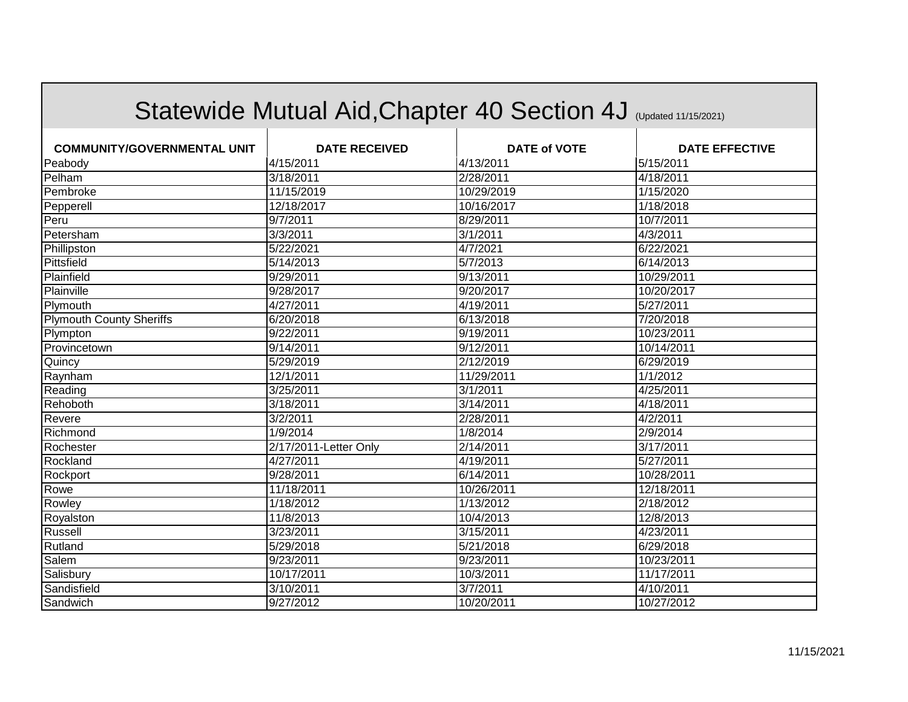|                                    | Statewide Mutual Aid, Chapter 40 Section 4J (Updated 11/15/2021) |                     |                       |
|------------------------------------|------------------------------------------------------------------|---------------------|-----------------------|
| <b>COMMUNITY/GOVERNMENTAL UNIT</b> | <b>DATE RECEIVED</b>                                             | <b>DATE of VOTE</b> | <b>DATE EFFECTIVE</b> |
| Peabody                            | 4/15/2011                                                        | 4/13/2011           | 5/15/2011             |
| Pelham                             | 3/18/2011                                                        | 2/28/2011           | 4/18/2011             |
| Pembroke                           | 11/15/2019                                                       | 10/29/2019          | 1/15/2020             |
| Pepperell                          | 12/18/2017                                                       | 10/16/2017          | 1/18/2018             |
| Peru                               | 9/7/2011                                                         | 8/29/2011           | 10/7/2011             |
| Petersham                          | 3/3/2011                                                         | 3/1/2011            | 4/3/2011              |
| Phillipston                        | 5/22/2021                                                        | 4/7/2021            | 6/22/2021             |
| Pittsfield                         | 5/14/2013                                                        | 5/7/2013            | 6/14/2013             |
| Plainfield                         | 9/29/2011                                                        | 9/13/2011           | 10/29/2011            |
| Plainville                         | 9/28/2017                                                        | 9/20/2017           | 10/20/2017            |
| Plymouth                           | 4/27/2011                                                        | 4/19/2011           | 5/27/2011             |
| <b>Plymouth County Sheriffs</b>    | 6/20/2018                                                        | 6/13/2018           | 7/20/2018             |
| Plympton                           | 9/22/2011                                                        | 9/19/2011           | 10/23/2011            |
| Provincetown                       | 9/14/2011                                                        | 9/12/2011           | 10/14/2011            |
| Quincy                             | 5/29/2019                                                        | 2/12/2019           | 6/29/2019             |
| Raynham                            | 12/1/2011                                                        | 11/29/2011          | 1/1/2012              |
| Reading                            | 3/25/2011                                                        | 3/1/2011            | 4/25/2011             |
| Rehoboth                           | 3/18/2011                                                        | 3/14/2011           | 4/18/2011             |
| Revere                             | 3/2/2011                                                         | 2/28/2011           | 4/2/2011              |
| Richmond                           | 1/9/2014                                                         | 1/8/2014            | 2/9/2014              |
| Rochester                          | 2/17/2011-Letter Only                                            | 2/14/2011           | 3/17/2011             |
| Rockland                           | 4/27/2011                                                        | 4/19/2011           | 5/27/2011             |
| Rockport                           | 9/28/2011                                                        | 6/14/2011           | 10/28/2011            |
| Rowe                               | 11/18/2011                                                       | 10/26/2011          | 12/18/2011            |
| Rowley                             | 1/18/2012                                                        | 1/13/2012           | 2/18/2012             |
| Royalston                          | 11/8/2013                                                        | 10/4/2013           | 12/8/2013             |
| Russell                            | 3/23/2011                                                        | 3/15/2011           | 4/23/2011             |
| Rutland                            | 5/29/2018                                                        | 5/21/2018           | 6/29/2018             |
| Salem                              | 9/23/2011                                                        | 9/23/2011           | 10/23/2011            |
| Salisbury                          | 10/17/2011                                                       | 10/3/2011           | 11/17/2011            |
| Sandisfield                        | 3/10/2011                                                        | 3/7/2011            | 4/10/2011             |
| Sandwich                           | 9/27/2012                                                        | 10/20/2011          | 10/27/2012            |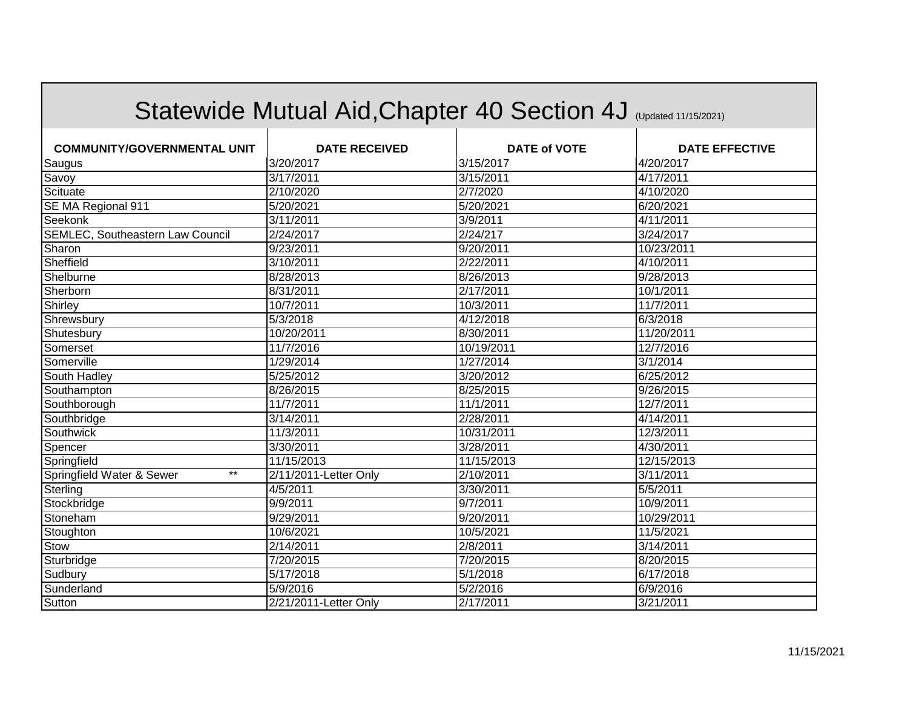|                                         |                       | Statewide Mutual Aid, Chapter 40 Section 4J (Updated 11/15/2021) |                       |
|-----------------------------------------|-----------------------|------------------------------------------------------------------|-----------------------|
| <b>COMMUNITY/GOVERNMENTAL UNIT</b>      | <b>DATE RECEIVED</b>  | <b>DATE of VOTE</b>                                              | <b>DATE EFFECTIVE</b> |
| Saugus                                  | 3/20/2017             | 3/15/2017                                                        | 4/20/2017             |
| Savoy                                   | 3/17/2011             | 3/15/2011                                                        | 4/17/2011             |
| Scituate                                | 2/10/2020             | 2/7/2020                                                         | 4/10/2020             |
| SE MA Regional 911                      | 5/20/2021             | 5/20/2021                                                        | 6/20/2021             |
| Seekonk                                 | 3/11/2011             | 3/9/2011                                                         | 4/11/2011             |
| <b>SEMLEC, Southeastern Law Council</b> | 2/24/2017             | 2/24/217                                                         | 3/24/2017             |
| Sharon                                  | 9/23/2011             | 9/20/2011                                                        | 10/23/2011            |
| Sheffield                               | 3/10/2011             | 2/22/2011                                                        | 4/10/2011             |
| Shelburne                               | 8/28/2013             | 8/26/2013                                                        | 9/28/2013             |
| Sherborn                                | 8/31/2011             | 2/17/2011                                                        | 10/1/2011             |
| Shirley                                 | 10/7/2011             | 10/3/2011                                                        | 11/7/2011             |
| Shrewsbury                              | 5/3/2018              | 4/12/2018                                                        | 6/3/2018              |
| Shutesbury                              | 10/20/2011            | 8/30/2011                                                        | 11/20/2011            |
| Somerset                                | 11/7/2016             | 10/19/2011                                                       | 12/7/2016             |
| Somerville                              | 1/29/2014             | 1/27/2014                                                        | 3/1/2014              |
| South Hadley                            | 5/25/2012             | 3/20/2012                                                        | 6/25/2012             |
| Southampton                             | 8/26/2015             | 8/25/2015                                                        | 9/26/2015             |
| Southborough                            | 11/7/2011             | 11/1/2011                                                        | 12/7/2011             |
| Southbridge                             | 3/14/2011             | 2/28/2011                                                        | 4/14/2011             |
| Southwick                               | 11/3/2011             | 10/31/2011                                                       | 12/3/2011             |
| Spencer                                 | 3/30/2011             | 3/28/2011                                                        | 4/30/2011             |
| Springfield                             | 11/15/2013            | 11/15/2013                                                       | 12/15/2013            |
| Springfield Water & Sewer<br>$***$      | 2/11/2011-Letter Only | 2/10/2011                                                        | 3/11/2011             |
| Sterling                                | 4/5/2011              | 3/30/2011                                                        | 5/5/2011              |
| Stockbridge                             | 9/9/2011              | 9/7/2011                                                         | 10/9/2011             |
| Stoneham                                | 9/29/2011             | 9/20/2011                                                        | 10/29/2011            |
| Stoughton                               | 10/6/2021             | 10/5/2021                                                        | 11/5/2021             |
| Stow                                    | 2/14/2011             | 2/8/2011                                                         | 3/14/2011             |
| Sturbridge                              | 7/20/2015             | 7/20/2015                                                        | 8/20/2015             |
| Sudbury                                 | $\sqrt{5/17/2018}$    | 5/1/2018                                                         | 6/17/2018             |
| Sunderland                              | 5/9/2016              | 5/2/2016                                                         | 6/9/2016              |
| Sutton                                  | 2/21/2011-Letter Only | 2/17/2011                                                        | 3/21/2011             |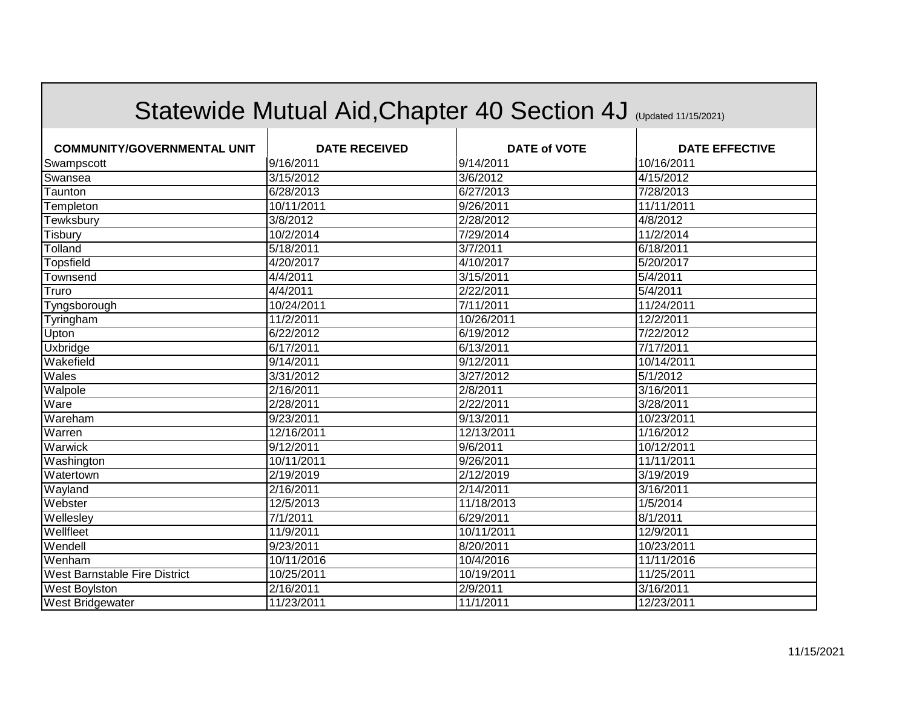|                                    |                      | Statewide Mutual Aid, Chapter 40 Section 4J (Updated 11/15/2021) |                       |
|------------------------------------|----------------------|------------------------------------------------------------------|-----------------------|
| <b>COMMUNITY/GOVERNMENTAL UNIT</b> | <b>DATE RECEIVED</b> | <b>DATE of VOTE</b>                                              | <b>DATE EFFECTIVE</b> |
| Swampscott                         | 9/16/2011            | 9/14/2011                                                        | 10/16/2011            |
| Swansea                            | 3/15/2012            | 3/6/2012                                                         | 4/15/2012             |
| Taunton                            | 6/28/2013            | 6/27/2013                                                        | 7/28/2013             |
| Templeton                          | 10/11/2011           | 9/26/2011                                                        | 11/11/2011            |
| Tewksbury                          | 3/8/2012             | 2/28/2012                                                        | 4/8/2012              |
| Tisbury                            | 10/2/2014            | 7/29/2014                                                        | 11/2/2014             |
| Tolland                            | 5/18/2011            | 3/7/2011                                                         | 6/18/2011             |
| Topsfield                          | 4/20/2017            | 4/10/2017                                                        | 5/20/2017             |
| Townsend                           | 4/4/2011             | 3/15/2011                                                        | 5/4/2011              |
| Truro                              | 4/4/2011             | 2/22/2011                                                        | 5/4/2011              |
| Tyngsborough                       | 10/24/2011           | 7/11/2011                                                        | 11/24/2011            |
| Tyringham                          | 11/2/2011            | 10/26/2011                                                       | 12/2/2011             |
| Upton                              | 6/22/2012            | 6/19/2012                                                        | 7/22/2012             |
| <b>Uxbridge</b>                    | 6/17/2011            | 6/13/2011                                                        | 7/17/2011             |
| Wakefield                          | 9/14/2011            | 9/12/2011                                                        | 10/14/2011            |
| Wales                              | 3/31/2012            | 3/27/2012                                                        | 5/1/2012              |
| Walpole                            | 2/16/2011            | 2/8/2011                                                         | 3/16/2011             |
| Ware                               | 2/28/2011            | 2/22/2011                                                        | 3/28/2011             |
| Wareham                            | 9/23/2011            | 9/13/2011                                                        | 10/23/2011            |
| Warren                             | 12/16/2011           | 12/13/2011                                                       | 1/16/2012             |
| <b>Warwick</b>                     | 9/12/2011            | 9/6/2011                                                         | 10/12/2011            |
| Washington                         | 10/11/2011           | 9/26/2011                                                        | 11/11/2011            |
| Watertown                          | 2/19/2019            | 2/12/2019                                                        | 3/19/2019             |
| Wayland                            | 2/16/2011            | 2/14/2011                                                        | 3/16/2011             |
| Webster                            | 12/5/2013            | 11/18/2013                                                       | 1/5/2014              |
| Wellesley                          | 7/1/2011             | 6/29/2011                                                        | 8/1/2011              |
| Wellfleet                          | 11/9/2011            | 10/11/2011                                                       | 12/9/2011             |
| Wendell                            | 9/23/2011            | 8/20/2011                                                        | 10/23/2011            |
| Wenham                             | 10/11/2016           | 10/4/2016                                                        | 11/11/2016            |
| West Barnstable Fire District      | 10/25/2011           | 10/19/2011                                                       | 11/25/2011            |
| West Boylston                      | 2/16/2011            | 2/9/2011                                                         | 3/16/2011             |
| West Bridgewater                   | 11/23/2011           | 11/1/2011                                                        | 12/23/2011            |